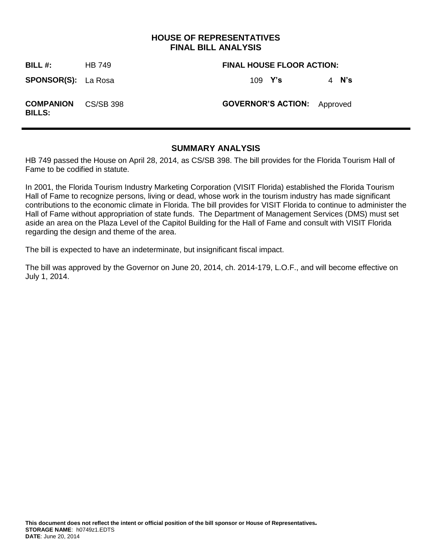## **HOUSE OF REPRESENTATIVES FINAL BILL ANALYSIS**

**BILL #:** HB 749 **FINAL HOUSE FLOOR ACTION: SPONSOR(S):** La Rosa 109 **Y's** 4 **N's COMPANION BILLS: GOVERNOR'S ACTION:** Approved

## **SUMMARY ANALYSIS**

HB 749 passed the House on April 28, 2014, as CS/SB 398. The bill provides for the Florida Tourism Hall of Fame to be codified in statute.

In 2001, the Florida Tourism Industry Marketing Corporation (VISIT Florida) established the Florida Tourism Hall of Fame to recognize persons, living or dead, whose work in the tourism industry has made significant contributions to the economic climate in Florida. The bill provides for VISIT Florida to continue to administer the Hall of Fame without appropriation of state funds. The Department of Management Services (DMS) must set aside an area on the Plaza Level of the Capitol Building for the Hall of Fame and consult with VISIT Florida regarding the design and theme of the area.

The bill is expected to have an indeterminate, but insignificant fiscal impact.

The bill was approved by the Governor on June 20, 2014, ch. 2014-179, L.O.F., and will become effective on July 1, 2014.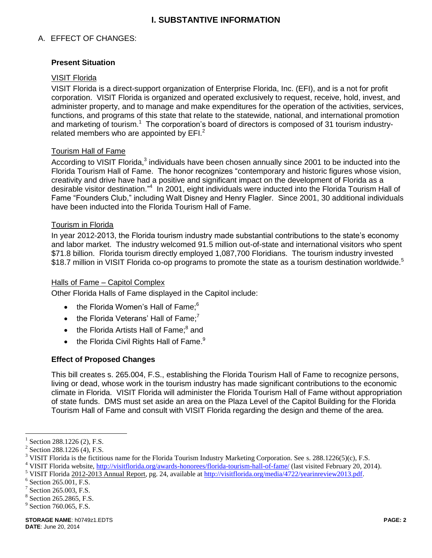# **I. SUBSTANTIVE INFORMATION**

## A. EFFECT OF CHANGES:

### **Present Situation**

### VISIT Florida

VISIT Florida is a direct-support organization of Enterprise Florida, Inc. (EFI), and is a not for profit corporation. VISIT Florida is organized and operated exclusively to request, receive, hold, invest, and administer property, and to manage and make expenditures for the operation of the activities, services, functions, and programs of this state that relate to the statewide, national, and international promotion and marketing of tourism.<sup>1</sup> The corporation's board of directors is composed of 31 tourism industryrelated members who are appointed by EFI.<sup>2</sup>

#### Tourism Hall of Fame

According to VISIT Florida,<sup>3</sup> individuals have been chosen annually since 2001 to be inducted into the Florida Tourism Hall of Fame. The honor recognizes "contemporary and historic figures whose vision, creativity and drive have had a positive and significant impact on the development of Florida as a desirable visitor destination."<sup>4</sup> In 2001, eight individuals were inducted into the Florida Tourism Hall of Fame "Founders Club," including Walt Disney and Henry Flagler. Since 2001, 30 additional individuals have been inducted into the Florida Tourism Hall of Fame.

#### Tourism in Florida

In year 2012-2013, the Florida tourism industry made substantial contributions to the state's economy and labor market. The industry welcomed 91.5 million out-of-state and international visitors who spent \$71.8 billion. Florida tourism directly employed 1,087,700 Floridians. The tourism industry invested \$18.7 million in VISIT Florida co-op programs to promote the state as a tourism destination worldwide.<sup>5</sup>

#### Halls of Fame – Capitol Complex

Other Florida Halls of Fame displayed in the Capitol include:

- $\bullet$  the Florida Women's Hall of Fame: $6$
- $\bullet$  the Florida Veterans' Hall of Fame:<sup>7</sup>
- $\bullet$  the Florida Artists Hall of Fame; $^8$  and
- $\bullet$  the Florida Civil Rights Hall of Fame. $^9$

#### **Effect of Proposed Changes**

This bill creates s. 265.004, F.S., establishing the Florida Tourism Hall of Fame to recognize persons, living or dead, whose work in the tourism industry has made significant contributions to the economic climate in Florida. VISIT Florida will administer the Florida Tourism Hall of Fame without appropriation of state funds. DMS must set aside an area on the Plaza Level of the Capitol Building for the Florida Tourism Hall of Fame and consult with VISIT Florida regarding the design and theme of the area.

 $\overline{a}$ 

<sup>1</sup> Section 288.1226 (2), F.S.

 $2$  Section 288.1226 (4), F.S.

<sup>&</sup>lt;sup>3</sup> VISIT Florida is the fictitious name for the Florida Tourism Industry Marketing Corporation. See s. 288.1226(5)(c), F.S.

<sup>&</sup>lt;sup>4</sup> VISIT Florida website[, http://visitflorida.org/awards-honorees/florida-tourism-hall-of-fame/](http://visitflorida.org/awards-honorees/florida-tourism-hall-of-fame/) (last visited February 20, 2014).

<sup>&</sup>lt;sup>5</sup> VISIT Florida 2012-2013 Annual Report, pg. 24, available at [http://visitflorida.org/media/4722/yearinreview2013.pdf.](http://visitflorida.org/media/4722/yearinreview2013.pdf)

 $6$  Section 265.001, F.S.

<sup>7</sup> Section 265.003, F.S.

<sup>8</sup> Section 265.2865, F.S.

<sup>&</sup>lt;sup>9</sup> Section 760.065, F.S.